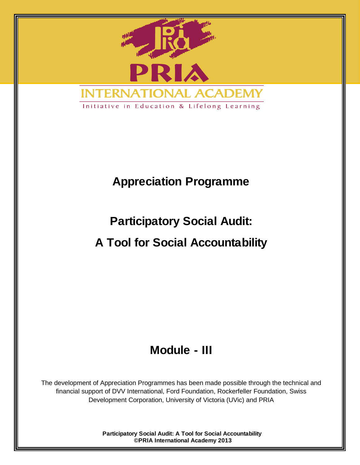

## **Appreciation Programme**

# **Participatory Social Audit:**

# **A Tool for Social Accountability**

## **Module - III**

The development of Appreciation Programmes has been made possible through the technical and financial support of DVV International, Ford Foundation, Rockerfeller Foundation, Swiss Development Corporation, University of Victoria (UVic) and PRIA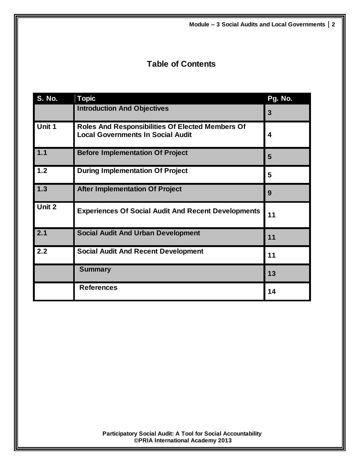## **Table of Contents**

| <b>S. No.</b> | <b>Topic</b>                                                                                        | Pg. No. |
|---------------|-----------------------------------------------------------------------------------------------------|---------|
|               | <b>Introduction And Objectives</b>                                                                  | 3       |
| Unit 1        | <b>Roles And Responsibilities Of Elected Members Of</b><br><b>Local Governments In Social Audit</b> | 4       |
| 1.1           | <b>Before Implementation Of Project</b>                                                             | 5       |
| 1.2           | <b>During Implementation Of Project</b>                                                             | 5       |
| 1.3           | <b>After Implementation Of Project</b>                                                              | 9       |
| Unit 2        | <b>Experiences Of Social Audit And Recent Developments</b>                                          | 11      |
| 2.1           | <b>Social Audit And Urban Development</b>                                                           | 11      |
| 2.2           | <b>Social Audit And Recent Development</b>                                                          | 11      |
|               | <b>Summary</b>                                                                                      | 13      |
|               | <b>References</b>                                                                                   | 14      |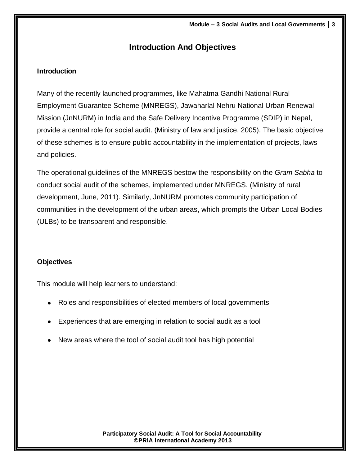## **Introduction And Objectives**

### **Introduction**

Many of the recently launched programmes, like Mahatma Gandhi National Rural Employment Guarantee Scheme (MNREGS), Jawaharlal Nehru National Urban Renewal Mission (JnNURM) in India and the Safe Delivery Incentive Programme (SDIP) in Nepal, provide a central role for social audit. (Ministry of law and justice, 2005). The basic objective of these schemes is to ensure public accountability in the implementation of projects, laws and policies.

The operational guidelines of the MNREGS bestow the responsibility on the *Gram Sabha* to conduct social audit of the schemes, implemented under MNREGS. (Ministry of rural development, June, 2011). Similarly, JnNURM promotes community participation of communities in the development of the urban areas, which prompts the Urban Local Bodies (ULBs) to be transparent and responsible.

#### **Objectives**

This module will help learners to understand:

- Roles and responsibilities of elected members of local governments
- Experiences that are emerging in relation to social audit as a tool
- New areas where the tool of social audit tool has high potential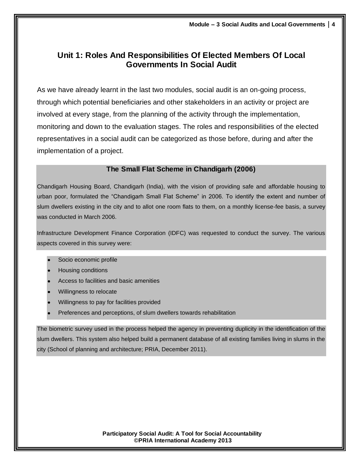## **Unit 1: Roles And Responsibilities Of Elected Members Of Local Governments In Social Audit**

As we have already learnt in the last two modules, social audit is an on-going process, through which potential beneficiaries and other stakeholders in an activity or project are involved at every stage, from the planning of the activity through the implementation, monitoring and down to the evaluation stages. The roles and responsibilities of the elected representatives in a social audit can be categorized as those before, during and after the implementation of a project.

#### **The Small Flat Scheme in Chandigarh (2006)**

Chandigarh Housing Board, Chandigarh (India), with the vision of providing safe and affordable housing to urban poor, formulated the "Chandigarh Small Flat Scheme" in 2006. To identify the extent and number of slum dwellers existing in the city and to allot one room flats to them, on a monthly license-fee basis, a survey was conducted in March 2006.

Infrastructure Development Finance Corporation (IDFC) was requested to conduct the survey. The various aspects covered in this survey were:

- Socio economic profile
- Housing conditions
- Access to facilities and basic amenities
- Willingness to relocate
- Willingness to pay for facilities provided
- Preferences and perceptions, of slum dwellers towards rehabilitation

The biometric survey used in the process helped the agency in preventing duplicity in the identification of the slum dwellers. This system also helped build a permanent database of all existing families living in slums in the city (School of planning and architecture; PRIA, December 2011).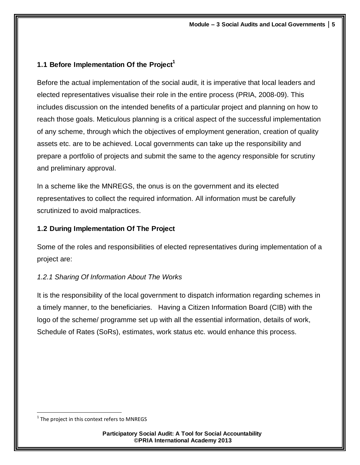## **1.1 Before Implementation Of the Project<sup>1</sup>**

Before the actual implementation of the social audit, it is imperative that local leaders and elected representatives visualise their role in the entire process (PRIA, 2008-09). This includes discussion on the intended benefits of a particular project and planning on how to reach those goals. Meticulous planning is a critical aspect of the successful implementation of any scheme, through which the objectives of employment generation, creation of quality assets etc. are to be achieved. Local governments can take up the responsibility and prepare a portfolio of projects and submit the same to the agency responsible for scrutiny and preliminary approval.

In a scheme like the MNREGS, the onus is on the government and its elected representatives to collect the required information. All information must be carefully scrutinized to avoid malpractices.

## **1.2 During Implementation Of The Project**

Some of the roles and responsibilities of elected representatives during implementation of a project are:

## *1.2.1 Sharing Of Information About The Works*

It is the responsibility of the local government to dispatch information regarding schemes in a timely manner, to the beneficiaries. Having a Citizen Information Board (CIB) with the logo of the scheme/ programme set up with all the essential information, details of work, Schedule of Rates (SoRs), estimates, work status etc. would enhance this process.

 $\overline{\phantom{a}}$  $^1$  The project in this context refers to MNREGS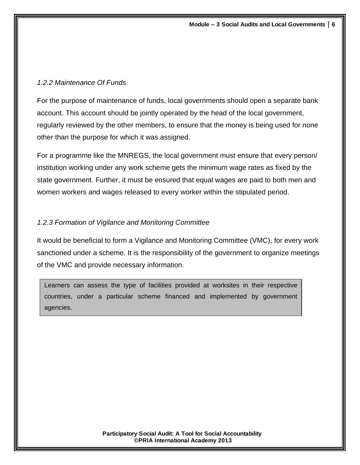### *1.2.2 Maintenance Of Funds*

For the purpose of maintenance of funds, local governments should open a separate bank account. This account should be jointly operated by the head of the local government, regularly reviewed by the other members, to ensure that the money is being used for none other than the purpose for which it was assigned.

For a programme like the MNREGS, the local government must ensure that every person/ institution working under any work scheme gets the minimum wage rates as fixed by the state government. Further, it must be ensured that equal wages are paid to both men and women workers and wages released to every worker within the stipulated period.

## *1.2.3 Formation of Vigilance and Monitoring Committee*

It would be beneficial to form a Vigilance and Monitoring Committee (VMC), for every work sanctioned under a scheme. It is the responsibility of the government to organize meetings of the VMC and provide necessary information.

Learners can assess the type of facilities provided at worksites in their respective countries, under a particular scheme financed and implemented by government agencies.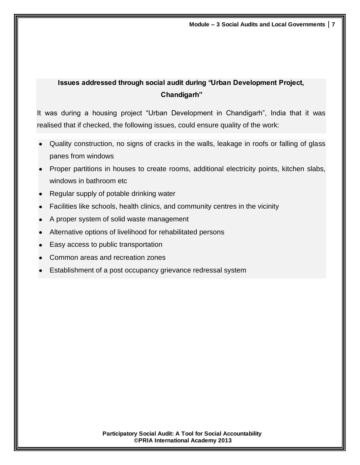## **Issues addressed through social audit during "Urban Development Project, Chandigarh"**

It was during a housing project "Urban Development in Chandigarh", India that it was realised that if checked, the following issues, could ensure quality of the work:

- Quality construction, no signs of cracks in the walls, leakage in roofs or falling of glass panes from windows
- Proper partitions in houses to create rooms, additional electricity points, kitchen slabs, windows in bathroom etc
- Regular supply of potable drinking water
- Facilities like schools, health clinics, and community centres in the vicinity
- A proper system of solid waste management
- Alternative options of livelihood for rehabilitated persons
- Easy access to public transportation
- Common areas and recreation zones
- Establishment of a post occupancy grievance redressal system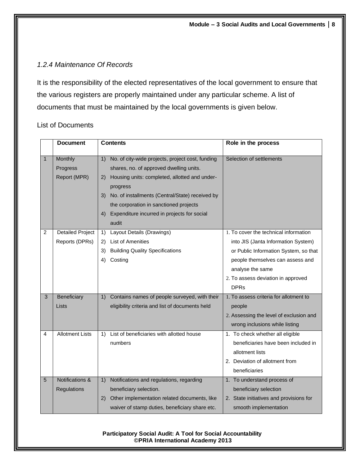## *1.2.4 Maintenance Of Records*

It is the responsibility of the elected representatives of the local government to ensure that the various registers are properly maintained under any particular scheme. A list of documents that must be maintained by the local governments is given below.

### List of Documents

|                | <b>Document</b>            | <b>Contents</b>                                        | Role in the process                     |
|----------------|----------------------------|--------------------------------------------------------|-----------------------------------------|
| $\mathbf{1}$   | Monthly                    | No. of city-wide projects, project cost, funding<br>1) | Selection of settlements                |
|                | Progress                   | shares, no. of approved dwelling units.                |                                         |
|                | Report (MPR)               | Housing units: completed, allotted and under-<br>2)    |                                         |
|                |                            | progress                                               |                                         |
|                |                            | No. of installments (Central/State) received by<br>3)  |                                         |
|                |                            | the corporation in sanctioned projects                 |                                         |
|                |                            | Expenditure incurred in projects for social<br>4)      |                                         |
|                |                            | audit                                                  |                                         |
| $\overline{2}$ | <b>Detailed Project</b>    | Layout Details (Drawings)<br>1)                        | 1. To cover the technical information   |
|                | Reports (DPRs)             | <b>List of Amenities</b><br>2)                         | into JIS (Janta Information System)     |
|                |                            | <b>Building Quality Specifications</b><br>3)           | or Public Information System, so that   |
|                |                            | Costing<br>4)                                          | people themselves can assess and        |
|                |                            |                                                        | analyse the same                        |
|                |                            |                                                        | 2. To assess deviation in approved      |
|                |                            |                                                        | <b>DPRs</b>                             |
| 3              | Beneficiary                | Contains names of people surveyed, with their<br>1)    | 1. To assess criteria for allotment to  |
|                | Lists                      | eligibility criteria and list of documents held        | people                                  |
|                |                            |                                                        | 2. Assessing the level of exclusion and |
|                |                            |                                                        | wrong inclusions while listing          |
| $\overline{4}$ | <b>Allotment Lists</b>     | List of beneficiaries with allotted house<br>1)        | 1. To check whether all eligible        |
|                |                            | numbers                                                | beneficiaries have been included in     |
|                |                            |                                                        | allotment lists                         |
|                |                            |                                                        | 2. Deviation of allotment from          |
|                |                            |                                                        | beneficiaries                           |
| 5              | <b>Notifications &amp;</b> | Notifications and regulations, regarding<br>1)         | 1. To understand process of             |
|                | Regulations                | beneficiary selection.                                 | beneficiary selection                   |
|                |                            | Other implementation related documents, like<br>(2)    | 2. State initiatives and provisions for |
|                |                            | waiver of stamp duties, beneficiary share etc.         | smooth implementation                   |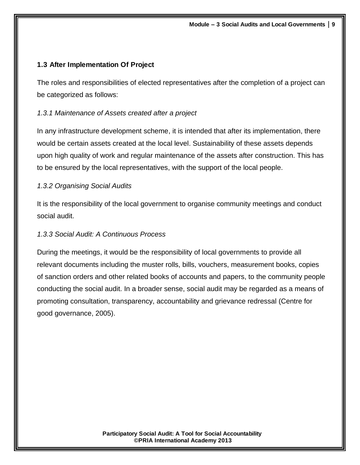## **1.3 After Implementation Of Project**

The roles and responsibilities of elected representatives after the completion of a project can be categorized as follows:

## *1.3.1 Maintenance of Assets created after a project*

In any infrastructure development scheme, it is intended that after its implementation, there would be certain assets created at the local level. Sustainability of these assets depends upon high quality of work and regular maintenance of the assets after construction. This has to be ensured by the local representatives, with the support of the local people.

## *1.3.2 Organising Social Audits*

It is the responsibility of the local government to organise community meetings and conduct social audit.

### *1.3.3 Social Audit: A Continuous Process*

During the meetings, it would be the responsibility of local governments to provide all relevant documents including the muster rolls, bills, vouchers, measurement books, copies of sanction orders and other related books of accounts and papers, to the community people conducting the social audit. In a broader sense, social audit may be regarded as a means of promoting consultation, transparency, accountability and grievance redressal (Centre for good governance, 2005).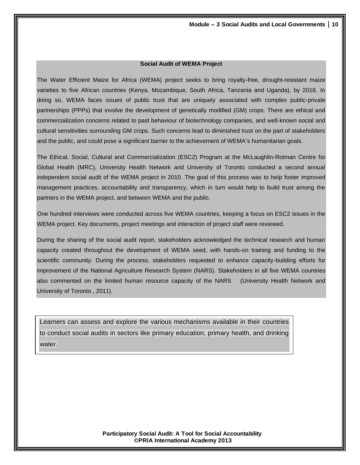#### **Social Audit of WEMA Project**

The Water Efficient Maize for Africa (WEMA) project seeks to bring royalty-free, drought-resistant maize varieties to five African countries (Kenya, Mozambique, South Africa, Tanzania and Uganda), by 2018. In doing so, WEMA faces issues of public trust that are uniquely associated with complex public-private partnerships (PPPs) that involve the development of genetically modified (GM) crops. There are ethical and commercialization concerns related to past behaviour of biotechnology companies, and well-known social and cultural sensitivities surrounding GM crops. Such concerns lead to diminished trust on the part of stakeholders and the public, and could pose a significant barrier to the achievement of WEMA's humanitarian goals.

The Ethical, Social, Cultural and Commercialization (ESC2) Program at the McLaughlin-Rotman Centre for Global Health (MRC), University Health Network and University of Toronto conducted a second annual independent social audit of the WEMA project in 2010. The goal of this process was to help foster improved management practices, accountability and transparency, which in turn would help to build trust among the partners in the WEMA project, and between WEMA and the public.

One hundred interviews were conducted across five WEMA countries, keeping a focus on ESC2 issues in the WEMA project. Key documents, project meetings and interaction of project staff were reviewed.

During the sharing of the social audit report, stakeholders acknowledged the technical research and human capacity created throughout the development of WEMA seed, with hands-on training and funding to the scientific community. During the process, stakeholders requested to enhance capacity-building efforts for improvement of the National Agriculture Research System (NARS). Stakeholders in all five WEMA countries also commented on the limited human resource capacity of the NARS (University Health Network and University of Toronto , 2011).

Learners can assess and explore the various mechanisms available in their countries to conduct social audits in sectors like primary education, primary health, and drinking water.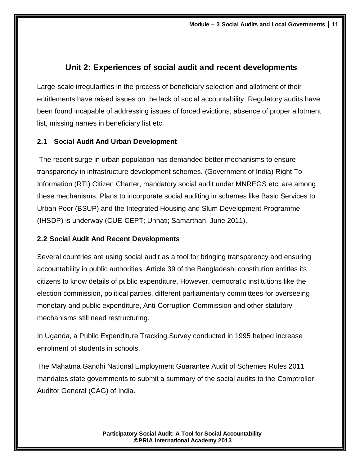## **Unit 2: Experiences of social audit and recent developments**

Large-scale irregularities in the process of beneficiary selection and allotment of their entitlements have raised issues on the lack of social accountability. Regulatory audits have been found incapable of addressing issues of forced evictions, absence of proper allotment list, missing names in beneficiary list etc.

## **2.1 Social Audit And Urban Development**

The recent surge in urban population has demanded better mechanisms to ensure transparency in infrastructure development schemes. (Government of India) Right To Information (RTI) Citizen Charter, mandatory social audit under MNREGS etc. are among these mechanisms. Plans to incorporate social auditing in schemes like Basic Services to Urban Poor (BSUP) and the Integrated Housing and Slum Development Programme (IHSDP) is underway (CUE-CEPT; Unnati; Samarthan, June 2011).

### **2.2 Social Audit And Recent Developments**

Several countries are using social audit as a tool for bringing transparency and ensuring accountability in public authorities. Article 39 of the Bangladeshi constitution entitles its citizens to know details of public expenditure. However, democratic institutions like the election commission, political parties, different parliamentary committees for overseeing monetary and public expenditure, Anti-Corruption Commission and other statutory mechanisms still need restructuring.

In Uganda, a Public Expenditure Tracking Survey conducted in 1995 helped increase enrolment of students in schools.

The Mahatma Gandhi National Employment Guarantee Audit of Schemes Rules 2011 mandates state governments to submit a summary of the social audits to the Comptroller Auditor General (CAG) of India.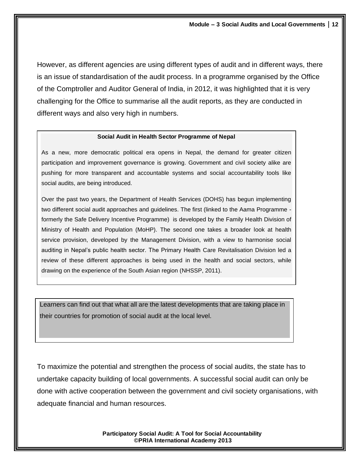However, as different agencies are using different types of audit and in different ways, there is an issue of standardisation of the audit process. In a programme organised by the Office of the Comptroller and Auditor General of India, in 2012, it was highlighted that it is very challenging for the Office to summarise all the audit reports, as they are conducted in different ways and also very high in numbers.

#### **Social Audit in Health Sector Programme of Nepal**

As a new, more democratic political era opens in Nepal, the demand for greater citizen participation and improvement governance is growing. Government and civil society alike are pushing for more transparent and accountable systems and social accountability tools like social audits, are being introduced.

Over the past two years, the Department of Health Services (DOHS) has begun implementing two different social audit approaches and guidelines. The first (linked to the Aama Programme formerly the Safe Delivery Incentive Programme) is developed by the Family Health Division of Ministry of Health and Population (MoHP). The second one takes a broader look at health service provision, developed by the Management Division, with a view to harmonise social auditing in Nepal's public health sector. The Primary Health Care Revitalisation Division led a review of these different approaches is being used in the health and social sectors, while drawing on the experience of the South Asian region (NHSSP, 2011).

Learners can find out that what all are the latest developments that are taking place in their countries for promotion of social audit at the local level.

To maximize the potential and strengthen the process of social audits, the state has to undertake capacity building of local governments. A successful social audit can only be done with active cooperation between the government and civil society organisations, with adequate financial and human resources.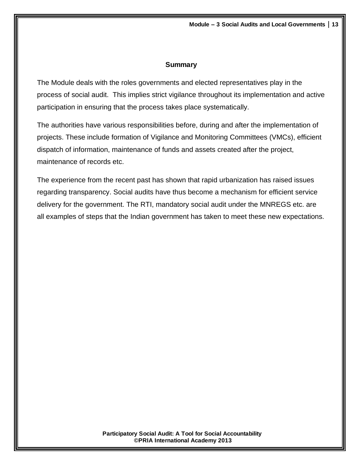#### **Summary**

The Module deals with the roles governments and elected representatives play in the process of social audit. This implies strict vigilance throughout its implementation and active participation in ensuring that the process takes place systematically.

The authorities have various responsibilities before, during and after the implementation of projects. These include formation of Vigilance and Monitoring Committees (VMCs), efficient dispatch of information, maintenance of funds and assets created after the project, maintenance of records etc.

The experience from the recent past has shown that rapid urbanization has raised issues regarding transparency. Social audits have thus become a mechanism for efficient service delivery for the government. The RTI, mandatory social audit under the MNREGS etc. are all examples of steps that the Indian government has taken to meet these new expectations.